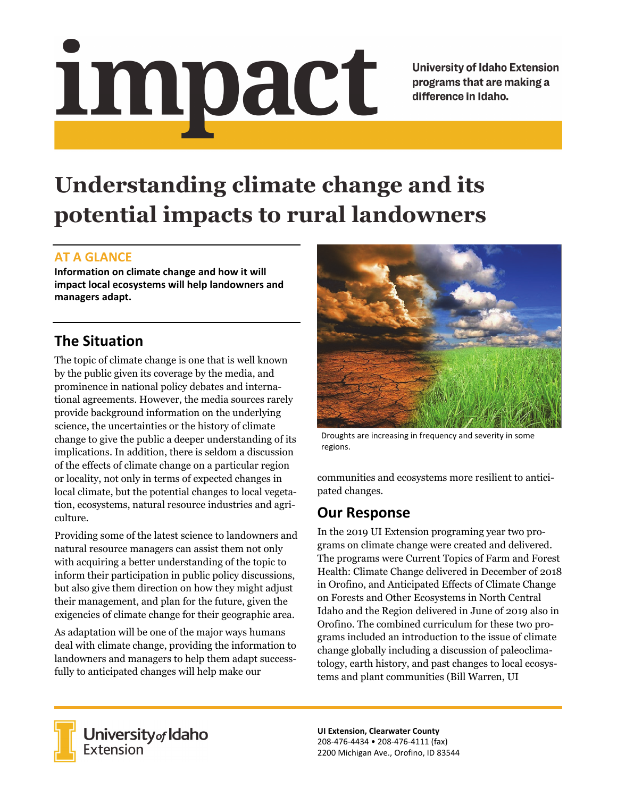<u>impact</u>

**University of Idaho Extension** programs that are making a difference in Idaho.

# **Understanding climate change and its potential impacts to rural landowners**

#### **AT A GLANCE**

**Information on climate change and how it will impact local ecosystems will help landowners and managers adapt.** 

# **The Situation**

The topic of climate change is one that is well known by the public given its coverage by the media, and prominence in national policy debates and international agreements. However, the media sources rarely provide background information on the underlying science, the uncertainties or the history of climate change to give the public a deeper understanding of its implications. In addition, there is seldom a discussion of the effects of climate change on a particular region or locality, not only in terms of expected changes in local climate, but the potential changes to local vegetation, ecosystems, natural resource industries and agriculture.

Providing some of the latest science to landowners and natural resource managers can assist them not only with acquiring a better understanding of the topic to inform their participation in public policy discussions, but also give them direction on how they might adjust their management, and plan for the future, given the exigencies of climate change for their geographic area.

As adaptation will be one of the major ways humans deal with climate change, providing the information to landowners and managers to help them adapt successfully to anticipated changes will help make our



Droughts are increasing in frequency and severity in some regions.

communities and ecosystems more resilient to anticipated changes.

# **Our Response**

In the 2019 UI Extension programing year two programs on climate change were created and delivered. The programs were Current Topics of Farm and Forest Health: Climate Change delivered in December of 2018 in Orofino, and Anticipated Effects of Climate Change on Forests and Other Ecosystems in North Central Idaho and the Region delivered in June of 2019 also in Orofino. The combined curriculum for these two programs included an introduction to the issue of climate change globally including a discussion of paleoclimatology, earth history, and past changes to local ecosystems and plant communities (Bill Warren, UI



**University** of Idaho<br>Extension

**UI Extension, Clearwater County**  208‐476‐4434 • 208‐476‐4111 (fax) 2200 Michigan Ave., Orofino, ID 83544